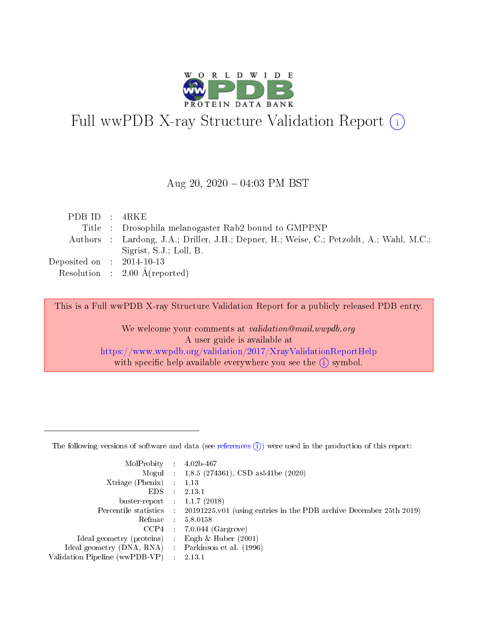

# Full wwPDB X-ray Structure Validation Report (i)

#### Aug 20,  $2020 - 04:03$  PM BST

| PDBID : 4RKE                |                                                                                          |
|-----------------------------|------------------------------------------------------------------------------------------|
|                             | Title : Drosophila melanogaster Rab2 bound to GMPPNP                                     |
|                             | Authors : Lardong, J.A.; Driller, J.H.; Depner, H.; Weise, C.; Petzoldt, A.; Wahl, M.C.; |
|                             | Sigrist, S.J.; Loll, B.                                                                  |
| Deposited on : $2014-10-13$ |                                                                                          |
|                             | Resolution : $2.00 \text{ Å}$ (reported)                                                 |

This is a Full wwPDB X-ray Structure Validation Report for a publicly released PDB entry.

We welcome your comments at validation@mail.wwpdb.org A user guide is available at <https://www.wwpdb.org/validation/2017/XrayValidationReportHelp> with specific help available everywhere you see the  $(i)$  symbol.

The following versions of software and data (see [references](https://www.wwpdb.org/validation/2017/XrayValidationReportHelp#references)  $(1)$ ) were used in the production of this report:

| $MolProbability$ 4.02b-467     |   |                                                                                            |
|--------------------------------|---|--------------------------------------------------------------------------------------------|
|                                |   | Mogul : 1.8.5 (274361), CSD as 541be (2020)                                                |
| $X$ triage (Phenix) :          |   | 1.13                                                                                       |
| EDS.                           |   | 2.13.1                                                                                     |
| buster-report : $1.1.7(2018)$  |   |                                                                                            |
|                                |   | Percentile statistics : 20191225.v01 (using entries in the PDB archive December 25th 2019) |
| Refmac                         |   | 5.8.0158                                                                                   |
| CCP4                           |   | $7.0.044$ (Gargrove)                                                                       |
| Ideal geometry (proteins)      |   | Engh $\&$ Huber (2001)                                                                     |
| Ideal geometry (DNA, RNA) :    |   | Parkinson et al. (1996)                                                                    |
| Validation Pipeline (wwPDB-VP) | ÷ | 2.13.1                                                                                     |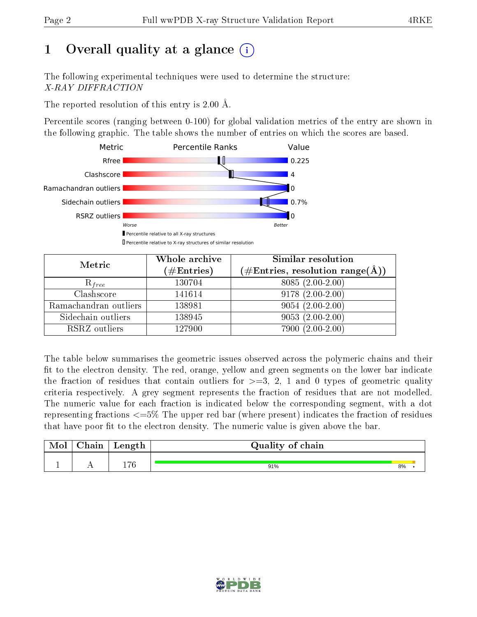# 1 [O](https://www.wwpdb.org/validation/2017/XrayValidationReportHelp#overall_quality)verall quality at a glance  $(i)$

The following experimental techniques were used to determine the structure: X-RAY DIFFRACTION

The reported resolution of this entry is 2.00 Å.

Percentile scores (ranging between 0-100) for global validation metrics of the entry are shown in the following graphic. The table shows the number of entries on which the scores are based.



| Metric                | Whole archive<br>$(\#\mathrm{Entries})$ | <b>Similar resolution</b><br>$(\#\text{Entries}, \, \text{resolution range}(\textup{\AA}))$ |
|-----------------------|-----------------------------------------|---------------------------------------------------------------------------------------------|
| $R_{free}$            | 130704                                  | $8085(2.00-2.00)$                                                                           |
| Clashscore            | 141614                                  | $9178(2.00-2.00)$                                                                           |
| Ramachandran outliers | 138981                                  | $9054(2.00-2.00)$                                                                           |
| Sidechain outliers    | 138945                                  | $9053(2.00-2.00)$                                                                           |
| RSRZ outliers         | 127900                                  | $7900(2.00-2.00)$                                                                           |

The table below summarises the geometric issues observed across the polymeric chains and their fit to the electron density. The red, orange, yellow and green segments on the lower bar indicate the fraction of residues that contain outliers for  $>=3, 2, 1$  and 0 types of geometric quality criteria respectively. A grey segment represents the fraction of residues that are not modelled. The numeric value for each fraction is indicated below the corresponding segment, with a dot representing fractions  $\epsilon=5\%$  The upper red bar (where present) indicates the fraction of residues that have poor fit to the electron density. The numeric value is given above the bar.

| Mol           | $\cap$ hain | Length | Quality of chain |    |  |
|---------------|-------------|--------|------------------|----|--|
| <u>. на п</u> | . .         | مصا    | 91%              | 8% |  |

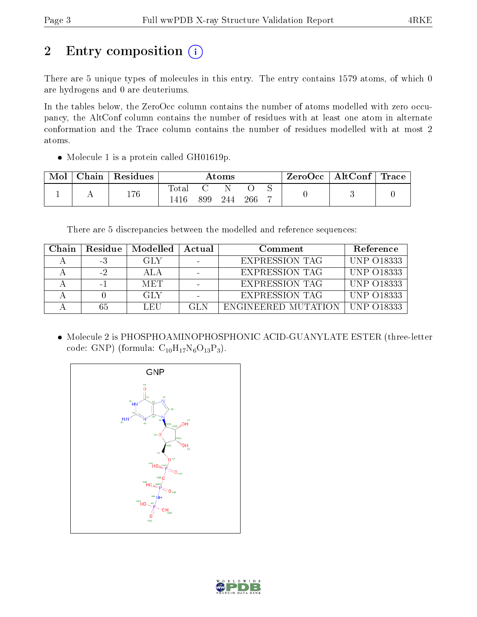# 2 Entry composition (i)

There are 5 unique types of molecules in this entry. The entry contains 1579 atoms, of which 0 are hydrogens and 0 are deuteriums.

In the tables below, the ZeroOcc column contains the number of atoms modelled with zero occupancy, the AltConf column contains the number of residues with at least one atom in alternate conformation and the Trace column contains the number of residues modelled with at most 2 atoms.

• Molecule 1 is a protein called GH01619p.

| Mol | Chain | $\perp$ Residues | $\rm\bf Atoms$              |     |     |     |   | $ZeroOcc \mid AltConf \mid$ | $^+$ Trace |
|-----|-------|------------------|-----------------------------|-----|-----|-----|---|-----------------------------|------------|
|     |       | 176              | $\tau_\mathrm{ota}$<br>.416 | 899 | 944 | 266 | — |                             |            |

There are 5 discrepancies between the modelled and reference sequences:

| Chain | Residue | Modelled   | Actual | Comment             | Reference         |
|-------|---------|------------|--------|---------------------|-------------------|
|       | -3      | GLY        |        | EXPRESSION TAG      | UNP 018333        |
|       | -2      | ALA        |        | EXPRESSION TAG      | UNP 018333        |
|       | - 1     | <b>MET</b> |        | EXPRESSION TAG      | <b>UNP 018333</b> |
|       |         | GLY        |        | EXPRESSION TAG      | <b>UNP 018333</b> |
|       | 65      | LEU        | GL N   | ENGINEERED MUTATION | - UNP 018333      |

 Molecule 2 is PHOSPHOAMINOPHOSPHONIC ACID-GUANYLATE ESTER (three-letter code: GNP) (formula:  $C_{10}H_{17}N_6O_{13}P_3$ ).



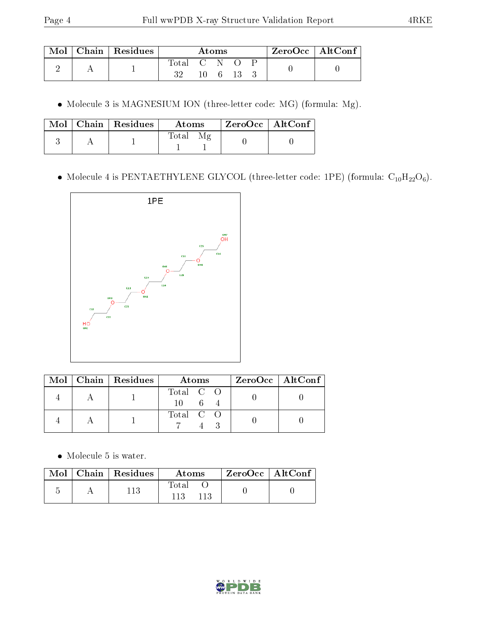| Mol | Chain   Residues | Atoms       |  |  |                      | $ZeroOcc$   AltConf |  |  |
|-----|------------------|-------------|--|--|----------------------|---------------------|--|--|
|     |                  | Total C N O |  |  |                      |                     |  |  |
|     |                  | 32          |  |  | $10 \t 6 \t 13 \t 3$ |                     |  |  |

 $\bullet$  Molecule 3 is MAGNESIUM ION (three-letter code: MG) (formula: Mg).

|  | $Mol$   Chain   Residues | Atoms        | ZeroOcc   AltConf |  |
|--|--------------------------|--------------|-------------------|--|
|  |                          | <b>Total</b> |                   |  |

 $\bullet$  Molecule 4 is PENTAETHYLENE GLYCOL (three-letter code: 1PE) (formula:  $\mathrm{C_{10}H_{22}O_6}).$ 



|  | $\text{Mol}$   Chain   Residues | Atoms     | $ZeroOcc \   \$ AltConf |
|--|---------------------------------|-----------|-------------------------|
|  |                                 | Total C O |                         |
|  |                                 | Total C O |                         |

• Molecule 5 is water.

|  | Mol   Chain   Residues | Atoms | $^\shortparallel$ ZeroOcc $\mid$ AltConf $^\shortparallel$ |  |
|--|------------------------|-------|------------------------------------------------------------|--|
|  | ี่ 1 ว                 | Total |                                                            |  |

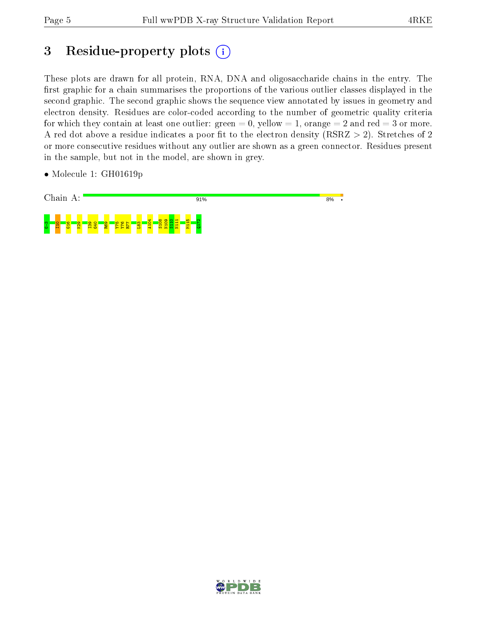# 3 Residue-property plots (i)

These plots are drawn for all protein, RNA, DNA and oligosaccharide chains in the entry. The first graphic for a chain summarises the proportions of the various outlier classes displayed in the second graphic. The second graphic shows the sequence view annotated by issues in geometry and electron density. Residues are color-coded according to the number of geometric quality criteria for which they contain at least one outlier: green  $= 0$ , yellow  $= 1$ , orange  $= 2$  and red  $= 3$  or more. A red dot above a residue indicates a poor fit to the electron density ( $RSRZ > 2$ ). Stretches of 2 or more consecutive residues without any outlier are shown as a green connector. Residues present in the sample, but not in the model, are shown in grey.

• Molecule 1: GH01619p



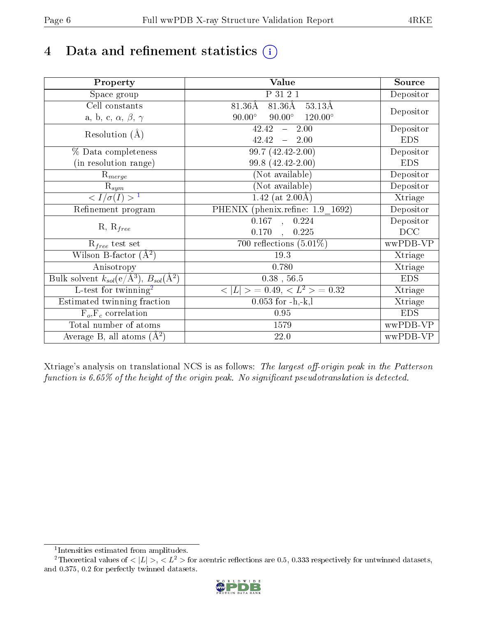# 4 Data and refinement statistics  $(i)$

| Property                                                             | Value                                                       | Source     |
|----------------------------------------------------------------------|-------------------------------------------------------------|------------|
| Space group                                                          | P 31 2 1                                                    | Depositor  |
| Cell constants                                                       | $81.36\text{\AA}$<br>$81.36\text{\AA}$<br>$53.13\text{\AA}$ |            |
| a, b, c, $\alpha$ , $\beta$ , $\gamma$                               | $90.00^\circ$<br>$90.00^\circ$<br>$120.00^{\circ}$          | Depositor  |
| Resolution $(A)$                                                     | 42.42<br>2.00<br>$\frac{1}{2}$                              | Depositor  |
|                                                                      | 42.42<br>$-2.00$                                            | <b>EDS</b> |
| % Data completeness                                                  | 99.7 (42.42-2.00)                                           | Depositor  |
| (in resolution range)                                                | 99.8 (42.42-2.00)                                           | <b>EDS</b> |
| $R_{merge}$                                                          | (Not available)                                             | Depositor  |
| $\mathrm{R}_{sym}$                                                   | (Not available)                                             | Depositor  |
| $\sqrt{I/\sigma}(I) > 1$                                             | 1.42 (at $2.00\text{\AA}$ )                                 | Xtriage    |
| Refinement program                                                   | PHENIX (phenix.refine: 1.9 1692)                            | Depositor  |
| $R, R_{free}$                                                        | $\overline{0.167}$ ,<br>0.224                               | Depositor  |
|                                                                      | 0.170<br>0.225                                              | DCC        |
| $R_{free}$ test set                                                  | 700 reflections $(5.01\%)$                                  | wwPDB-VP   |
| Wilson B-factor $(A^2)$                                              | 19.3                                                        | Xtriage    |
| Anisotropy                                                           | 0.780                                                       | Xtriage    |
| Bulk solvent $k_{sol}(e/\mathring{A}^3)$ , $B_{sol}(\mathring{A}^2)$ | $0.38$ , 56.5                                               | <b>EDS</b> |
| L-test for twinning <sup>2</sup>                                     | $< L >$ = 0.49, $< L^2 >$ = 0.32                            | Xtriage    |
| Estimated twinning fraction                                          | $0.053$ for $-h,-k,l$                                       | Xtriage    |
| $F_o, F_c$ correlation                                               | 0.95                                                        | <b>EDS</b> |
| Total number of atoms                                                | 1579                                                        | wwPDB-VP   |
| Average B, all atoms $(A^2)$                                         | $22.0\,$                                                    | wwPDB-VP   |

Xtriage's analysis on translational NCS is as follows: The largest off-origin peak in the Patterson function is  $6.65\%$  of the height of the origin peak. No significant pseudotranslation is detected.

<sup>&</sup>lt;sup>2</sup>Theoretical values of  $\langle |L| \rangle$ ,  $\langle L^2 \rangle$  for acentric reflections are 0.5, 0.333 respectively for untwinned datasets, and 0.375, 0.2 for perfectly twinned datasets.



<span id="page-5-1"></span><span id="page-5-0"></span><sup>1</sup> Intensities estimated from amplitudes.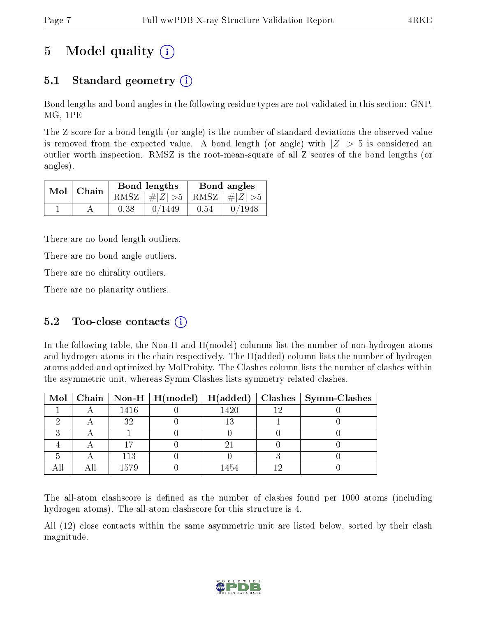# 5 Model quality  $(i)$

## 5.1 Standard geometry (i)

Bond lengths and bond angles in the following residue types are not validated in this section: GNP, MG, 1PE

The Z score for a bond length (or angle) is the number of standard deviations the observed value is removed from the expected value. A bond length (or angle) with  $|Z| > 5$  is considered an outlier worth inspection. RMSZ is the root-mean-square of all Z scores of the bond lengths (or angles).

|  | $Mol$   Chain |      | Bond lengths                    | Bond angles |        |  |
|--|---------------|------|---------------------------------|-------------|--------|--|
|  |               |      | RMSZ $ #Z  > 5$ RMSZ $ #Z  > 5$ |             |        |  |
|  |               | 0.38 | 0/1449                          | 0.54        | 0/1948 |  |

There are no bond length outliers.

There are no bond angle outliers.

There are no chirality outliers.

There are no planarity outliers.

### 5.2 Too-close contacts  $(i)$

In the following table, the Non-H and H(model) columns list the number of non-hydrogen atoms and hydrogen atoms in the chain respectively. The H(added) column lists the number of hydrogen atoms added and optimized by MolProbity. The Clashes column lists the number of clashes within the asymmetric unit, whereas Symm-Clashes lists symmetry related clashes.

|  |      |      | Mol   Chain   Non-H   H(model)   H(added)   Clashes   Symm-Clashes |
|--|------|------|--------------------------------------------------------------------|
|  | 1416 | 1420 |                                                                    |
|  | 32   | 13   |                                                                    |
|  |      |      |                                                                    |
|  |      |      |                                                                    |
|  | 113  |      |                                                                    |
|  | 1579 | 154  |                                                                    |

The all-atom clashscore is defined as the number of clashes found per 1000 atoms (including hydrogen atoms). The all-atom clashscore for this structure is 4.

All (12) close contacts within the same asymmetric unit are listed below, sorted by their clash magnitude.

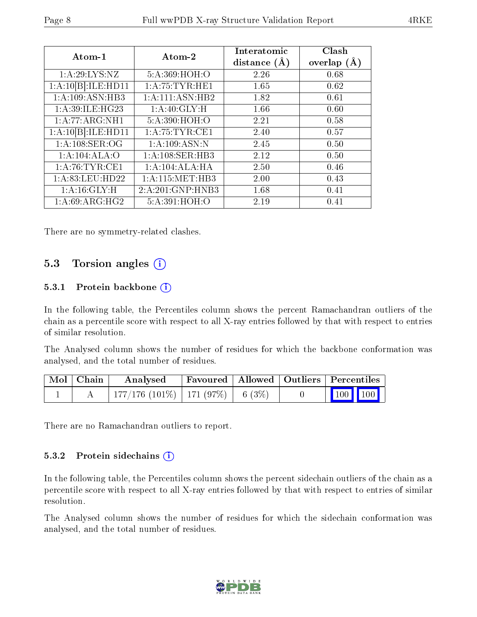|--|

| Atom-1             | Atom-2            | Interatomic<br>distance $(A)$ | Clash<br>overlap $(A)$ |
|--------------------|-------------------|-------------------------------|------------------------|
| 1:A:29:LYS:NZ      | 5:A:369:HOH:O     | 2.26                          | 0.68                   |
|                    | 1: A:75:TYR:HE1   |                               |                        |
| 1:A:10[B]:ILE:HD11 |                   | 1.65                          | 0.62                   |
| 1: A:109: ASN:HB3  | 1:A:111:ASN:HB2   | 1.82                          | 0.61                   |
| 1: A:39: ILE: HG23 | 1:A:40:GLY:H      | 1.66                          | 0.60                   |
| 1:A:77:ARG:NH1     | 5:A:390:HOH:O     | 2.21                          | 0.58                   |
| 1:A:10[B]:ILE:HD11 | 1:A:75:TYR:CE1    | 2.40                          | 0.57                   |
| 1:A:108:SER:OG     | 1:A:109:ASN:N     | 2.45                          | 0.50                   |
| 1:A:104:ALA:O      | 1:A:108:SER:HB3   | 2.12                          | 0.50                   |
| 1: A:76:TYR:CE1    | 1:A:104:ALA:HA    | 2.50                          | 0.46                   |
| 1: A:83: LEU: HD22 | 1: A:115: MET:HB3 | 2.00                          | 0.43                   |
| 1:A:16:GLY:H       | 2:A:201:GNP:HNB3  | 1.68                          | 0.41                   |
| 1: A:69: ARG:HG2   | 5:A:391:HOH:O     | 2.19                          | 0.41                   |

There are no symmetry-related clashes.

### 5.3 Torsion angles (i)

#### 5.3.1 Protein backbone (i)

In the following table, the Percentiles column shows the percent Ramachandran outliers of the chain as a percentile score with respect to all X-ray entries followed by that with respect to entries of similar resolution.

The Analysed column shows the number of residues for which the backbone conformation was analysed, and the total number of residues.

| Mol   Chain | Analysed                                 |  | Favoured   Allowed   Outliers   Percentiles                  |  |
|-------------|------------------------------------------|--|--------------------------------------------------------------|--|
|             | $177/176$ (101\%)   171 (97\%)   6 (3\%) |  | $\begin{array}{ c c c c c }\n\hline\n100 & 100\n\end{array}$ |  |

There are no Ramachandran outliers to report.

#### 5.3.2 Protein sidechains  $(i)$

In the following table, the Percentiles column shows the percent sidechain outliers of the chain as a percentile score with respect to all X-ray entries followed by that with respect to entries of similar resolution.

The Analysed column shows the number of residues for which the sidechain conformation was analysed, and the total number of residues.

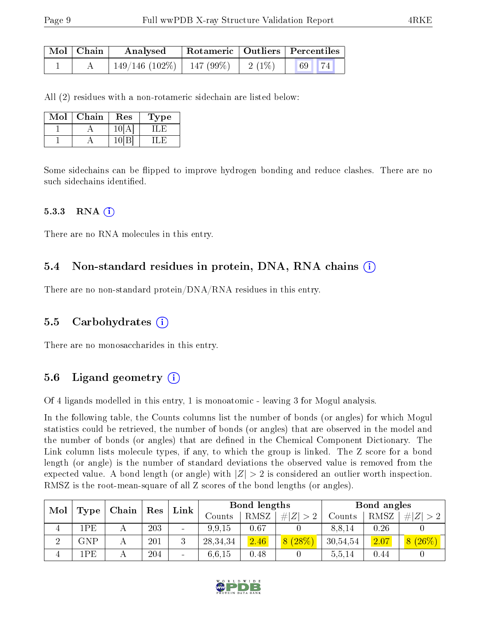| Mol   Chain | Analysed                       |          | Rotameric   Outliers   Percentiles |  |
|-------------|--------------------------------|----------|------------------------------------|--|
|             | $149/146$ (102\%)   147 (99\%) | $2(1\%)$ |                                    |  |

All (2) residues with a non-rotameric sidechain are listed below:

| Mol | Chain | Res | Fype |
|-----|-------|-----|------|
|     |       |     |      |
|     |       |     |      |

Some sidechains can be flipped to improve hydrogen bonding and reduce clashes. There are no such sidechains identified.

#### 5.3.3 RNA  $(i)$

There are no RNA molecules in this entry.

#### 5.4 Non-standard residues in protein, DNA, RNA chains (i)

There are no non-standard protein/DNA/RNA residues in this entry.

#### 5.5 Carbohydrates (i)

There are no monosaccharides in this entry.

### 5.6 Ligand geometry  $(i)$

Of 4 ligands modelled in this entry, 1 is monoatomic - leaving 3 for Mogul analysis.

In the following table, the Counts columns list the number of bonds (or angles) for which Mogul statistics could be retrieved, the number of bonds (or angles) that are observed in the model and the number of bonds (or angles) that are defined in the Chemical Component Dictionary. The Link column lists molecule types, if any, to which the group is linked. The Z score for a bond length (or angle) is the number of standard deviations the observed value is removed from the expected value. A bond length (or angle) with  $|Z| > 2$  is considered an outlier worth inspection. RMSZ is the root-mean-square of all Z scores of the bond lengths (or angles).

| Mol | Type | $\perp$ Chain $\perp$ | $\operatorname{Res}$ | Link |            | Bond lengths |             |          | Bond angles |                |
|-----|------|-----------------------|----------------------|------|------------|--------------|-------------|----------|-------------|----------------|
|     |      |                       |                      |      | Counts     | <b>RMSZ</b>  | # $ Z  > 2$ | Counts   | RMSZ        | 2 <sup>1</sup> |
|     | lPE  |                       | 203                  |      | 9,9,15     | 0.67         |             | 8.8.14   | 0.26        |                |
| ച   | GNP  |                       | 201                  |      | 28, 34, 34 | 2.46         | (28%)       | 30,54,54 | 2.07        | $(26\%)$       |
|     | lPE  |                       | 204                  |      | 6,6,15     | 0.48         |             | 5,5,14   | 0.44        |                |

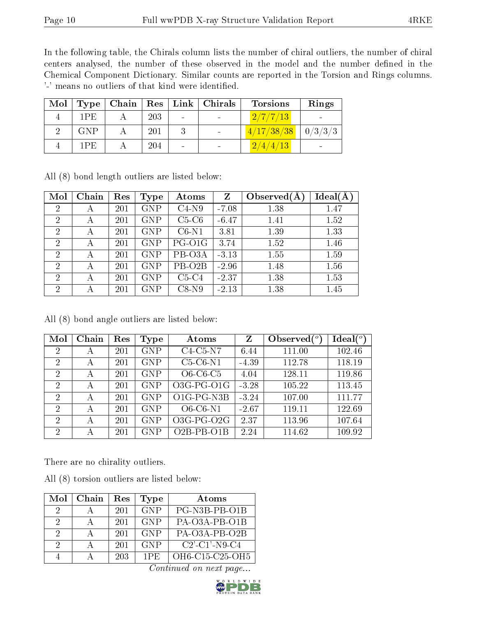In the following table, the Chirals column lists the number of chiral outliers, the number of chiral centers analysed, the number of these observed in the model and the number defined in the Chemical Component Dictionary. Similar counts are reported in the Torsion and Rings columns. '-' means no outliers of that kind were identified.

| Mol | Type       | Chain |     |        | Res   Link   Chirals | <b>Torsions</b> | Rings    |
|-----|------------|-------|-----|--------|----------------------|-----------------|----------|
|     | 1PE        |       | 203 | $\sim$ |                      | 2/7/7/13        |          |
|     | <b>GNP</b> |       | 201 |        |                      | 4/17/38/38      | 10/3/3/3 |
|     | 1PE        |       | 204 |        |                      | 2/4/4/13        |          |

| Mol            | Chain | Res | Type       | Atoms               | Z       | Observed $(A$ | Ideal(A) |
|----------------|-------|-----|------------|---------------------|---------|---------------|----------|
| $\overline{2}$ | А     | 201 | <b>GNP</b> | $C4-N9$             | $-7.08$ | 1.38          | 1.47     |
| $\overline{2}$ | А     | 201 | <b>GNP</b> | $C5-C6$             | $-6.47$ | 1.41          | 1.52     |
| $\overline{2}$ | А     | 201 | <b>GNP</b> | $C6-N1$             | 3.81    | 1.39          | 1.33     |
| $\overline{2}$ | А     | 201 | <b>GNP</b> | PG-O1G              | 3.74    | 1.52          | 1.46     |
| $\overline{2}$ | А     | 201 | <b>GNP</b> | PB-O3A              | $-3.13$ | 1.55          | 1.59     |
| $\overline{2}$ | А     | 201 | <b>GNP</b> | PB-O <sub>2</sub> B | $-2.96$ | 1.48          | 1.56     |
| $\overline{2}$ | А     | 201 | <b>GNP</b> | $C5-C4$             | $-2.37$ | 1.38          | 1.53     |
| $\overline{2}$ |       | 201 | <b>GNP</b> | $C8-N9$             | $-2.13$ | 1.38          | 1.45     |

All (8) bond length outliers are listed below:

All (8) bond angle outliers are listed below:

| Mol            | Chain | Res | Type       | Atoms        | Z       | Observed $(°)$ | Ideal(°) |
|----------------|-------|-----|------------|--------------|---------|----------------|----------|
| 2              | А     | 201 | <b>GNP</b> | $C4-C5-N7$   | 6.44    | 111.00         | 102.46   |
| $\overline{2}$ | А     | 201 | <b>GNP</b> | $C5-C6-N1$   | $-4.39$ | 112.78         | 118.19   |
| $\overline{2}$ | А     | 201 | <b>GNP</b> | $O6-C6-C5$   | 4.04    | 128.11         | 119.86   |
| 2              | А     | 201 | <b>GNP</b> | O3G-PG-O1G   | $-3.28$ | 105.22         | 113.45   |
| $\overline{2}$ | А     | 201 | <b>GNP</b> | O1G-PG-N3B   | $-3.24$ | 107.00         | 111.77   |
| $\overline{2}$ | А     | 201 | <b>GNP</b> | $O6-C6-N1$   | $-2.67$ | 119.11         | 122.69   |
| 2              | А     | 201 | <b>GNP</b> | $O3G-PG-O2G$ | 2.37    | 113.96         | 107.64   |
| $\overline{2}$ | А     | 201 | GNP        | $O2B-PB-O1B$ | 2.24    | 114.62         | 109.92   |

There are no chirality outliers.

All (8) torsion outliers are listed below:

| Mol           | Chain | Res | Type       | Atoms                                           |
|---------------|-------|-----|------------|-------------------------------------------------|
| 9             |       | 201 | <b>GNP</b> | PG-N3B-PB-O1B                                   |
| 2             |       | 201 | <b>GNP</b> | PA-O3A-PB-O1B                                   |
| $\mathcal{D}$ |       | 201 | <b>GNP</b> | PA-O3A-PB-O2B                                   |
| 2             |       | 201 | <b>GNP</b> | $C2$ <sup>-</sup> $C1$ <sup>-</sup> $N9$ - $C4$ |
|               |       | 203 | 1PE        | OH6-C15-C25-OH5                                 |

Continued on next page...

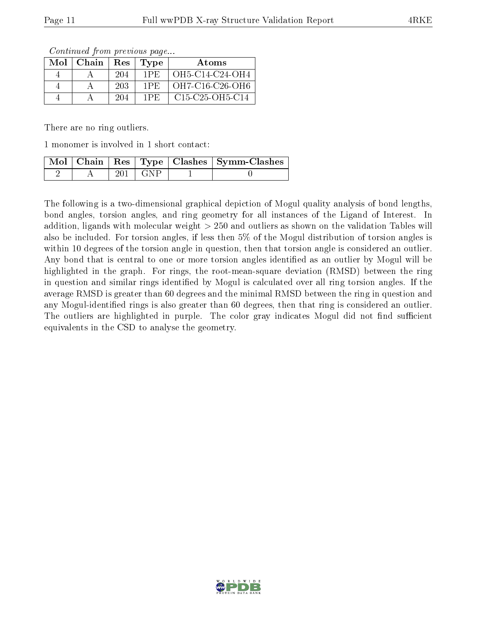| contentable provided page |            |      |                   |  |  |  |  |  |  |  |
|---------------------------|------------|------|-------------------|--|--|--|--|--|--|--|
| Mol   Chain               | $Res \mid$ | Type | Atoms             |  |  |  |  |  |  |  |
|                           | 204        | 1PF  | OH5-C14-C24-OH4   |  |  |  |  |  |  |  |
|                           | 203        | 1PE  | OH7-C16-C26-OH6   |  |  |  |  |  |  |  |
|                           | 204        | 1PF. | $C15-C25-OH5-C14$ |  |  |  |  |  |  |  |

Continued from previous page...

There are no ring outliers.

1 monomer is involved in 1 short contact:

|  |       | Mol   Chain   Res   Type   Clashes   Symm-Clashes |
|--|-------|---------------------------------------------------|
|  | . GNP |                                                   |

The following is a two-dimensional graphical depiction of Mogul quality analysis of bond lengths, bond angles, torsion angles, and ring geometry for all instances of the Ligand of Interest. In addition, ligands with molecular weight > 250 and outliers as shown on the validation Tables will also be included. For torsion angles, if less then 5% of the Mogul distribution of torsion angles is within 10 degrees of the torsion angle in question, then that torsion angle is considered an outlier. Any bond that is central to one or more torsion angles identified as an outlier by Mogul will be highlighted in the graph. For rings, the root-mean-square deviation (RMSD) between the ring in question and similar rings identified by Mogul is calculated over all ring torsion angles. If the average RMSD is greater than 60 degrees and the minimal RMSD between the ring in question and any Mogul-identified rings is also greater than 60 degrees, then that ring is considered an outlier. The outliers are highlighted in purple. The color gray indicates Mogul did not find sufficient equivalents in the CSD to analyse the geometry.

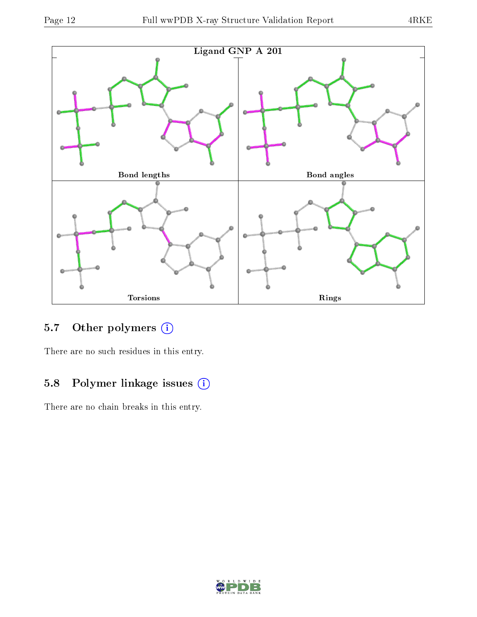

## 5.7 [O](https://www.wwpdb.org/validation/2017/XrayValidationReportHelp#nonstandard_residues_and_ligands)ther polymers (i)

There are no such residues in this entry.

## 5.8 Polymer linkage issues (i)

There are no chain breaks in this entry.

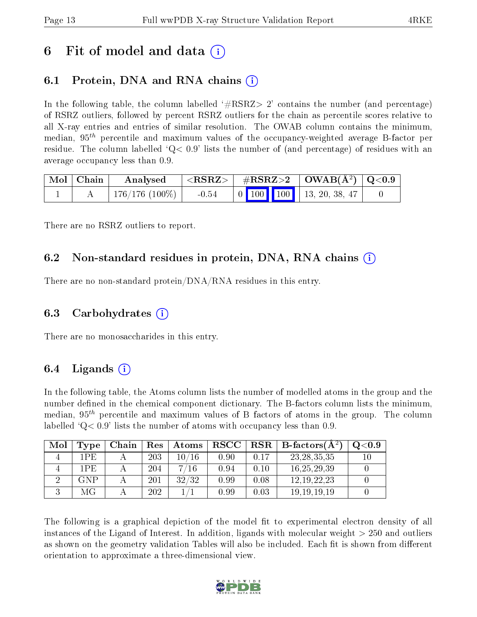## 6 Fit of model and data  $\left( \cdot \right)$

### 6.1 Protein, DNA and RNA chains (i)

In the following table, the column labelled  $#RSRZ>2'$  contains the number (and percentage) of RSRZ outliers, followed by percent RSRZ outliers for the chain as percentile scores relative to all X-ray entries and entries of similar resolution. The OWAB column contains the minimum, median,  $95<sup>th</sup>$  percentile and maximum values of the occupancy-weighted average B-factor per residue. The column labelled  $Q < 0.9$  lists the number of (and percentage) of residues with an average occupancy less than 0.9.

| Mol   Chain | Analysed         | $^\shortparallel < \text{RSRZ} > \pi$ |  |  | $\#RSRZ>2$   OWAB( $A^2$ )   Q<0.9                                                            |  |
|-------------|------------------|---------------------------------------|--|--|-----------------------------------------------------------------------------------------------|--|
|             | $176/176(100\%)$ | $-0.54$                               |  |  | $\begin{array}{ c c c c c c c c } \hline 0 & 100 & 100 & 13, 20, 38, 47 \ \hline \end{array}$ |  |

There are no RSRZ outliers to report.

### 6.2 Non-standard residues in protein, DNA, RNA chains  $(i)$

There are no non-standard protein/DNA/RNA residues in this entry.

### 6.3 Carbohydrates (i)

There are no monosaccharides in this entry.

### 6.4 Ligands  $(i)$

In the following table, the Atoms column lists the number of modelled atoms in the group and the number defined in the chemical component dictionary. The B-factors column lists the minimum, median,  $95<sup>th</sup>$  percentile and maximum values of B factors of atoms in the group. The column labelled  $Q< 0.9$ ' lists the number of atoms with occupancy less than 0.9.

| Mol | Type  | Chain | $\operatorname{Res}$ | Atoms | $_{\rm RSCC}$ | <b>RSR</b> | $\perp$ B-factors(A <sup>2</sup> ) | $\mathrm{Q}{<}0.9$ |
|-----|-------|-------|----------------------|-------|---------------|------------|------------------------------------|--------------------|
|     | 1 P E |       | 203                  | 10 /  | 0.90          | 0.17       | 23, 28, 35, 35                     |                    |
|     | 1PE   |       | 204                  | 16    | 0.94          | 0.10       | 16,25,29,39                        |                    |
|     | GNP   |       | 201                  | 32/32 | 0.99          | 0.08       | 12, 19, 22, 23                     |                    |
|     | МG    |       | 202                  |       | 0.99          | 0.03       | 19.19.19.19                        |                    |

The following is a graphical depiction of the model fit to experimental electron density of all instances of the Ligand of Interest. In addition, ligands with molecular weight > 250 and outliers as shown on the geometry validation Tables will also be included. Each fit is shown from different orientation to approximate a three-dimensional view.